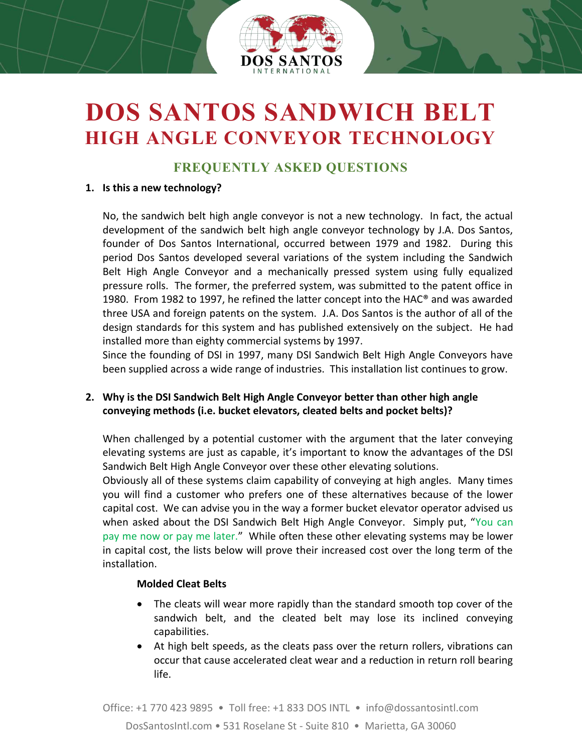

# **DOS SANTOS SANDWICH BELT HIGH ANGLE CONVEYOR TECHNOLOGY**

## **FREQUENTLY ASKED QUESTIONS**

#### **1. Is this a new technology?**

No, the sandwich belt high angle conveyor is not a new technology. In fact, the actual development of the sandwich belt high angle conveyor technology by J.A. Dos Santos, founder of Dos Santos International, occurred between 1979 and 1982. During this period Dos Santos developed several variations of the system including the Sandwich Belt High Angle Conveyor and a mechanically pressed system using fully equalized pressure rolls. The former, the preferred system, was submitted to the patent office in 1980. From 1982 to 1997, he refined the latter concept into the HAC® and was awarded three USA and foreign patents on the system. J.A. Dos Santos is the author of all of the design standards for this system and has published extensively on the subject. He had installed more than eighty commercial systems by 1997.

Since the founding of DSI in 1997, many DSI Sandwich Belt High Angle Conveyors have been supplied across a wide range of industries. This installation list continues to grow.

## **2. Why is the DSI Sandwich Belt High Angle Conveyor better than other high angle conveying methods (i.e. bucket elevators, cleated belts and pocket belts)?**

When challenged by a potential customer with the argument that the later conveying elevating systems are just as capable, it's important to know the advantages of the DSI Sandwich Belt High Angle Conveyor over these other elevating solutions.

Obviously all of these systems claim capability of conveying at high angles. Many times you will find a customer who prefers one of these alternatives because of the lower capital cost. We can advise you in the way a former bucket elevator operator advised us when asked about the DSI Sandwich Belt High Angle Conveyor. Simply put, "You can pay me now or pay me later." While often these other elevating systems may be lower in capital cost, the lists below will prove their increased cost over the long term of the installation.

### **Molded Cleat Belts**

- The cleats will wear more rapidly than the standard smooth top cover of the sandwich belt, and the cleated belt may lose its inclined conveying capabilities.
- At high belt speeds, as the cleats pass over the return rollers, vibrations can occur that cause accelerated cleat wear and a reduction in return roll bearing life.

Office: +1 770 423 9895 • Toll free: +1 833 DOS INTL • info@dossantosintl.com DosSantosIntl.com • 531 Roselane St - Suite 810 • Marietta, GA 30060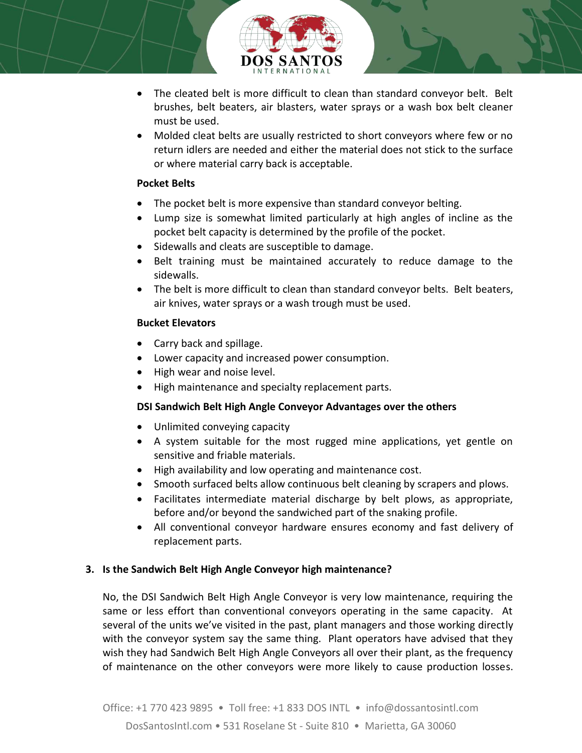

- The cleated belt is more difficult to clean than standard conveyor belt. Belt brushes, belt beaters, air blasters, water sprays or a wash box belt cleaner must be used.
- Molded cleat belts are usually restricted to short conveyors where few or no return idlers are needed and either the material does not stick to the surface or where material carry back is acceptable.

## **Pocket Belts**

- The pocket belt is more expensive than standard conveyor belting.
- Lump size is somewhat limited particularly at high angles of incline as the pocket belt capacity is determined by the profile of the pocket.
- Sidewalls and cleats are susceptible to damage.
- Belt training must be maintained accurately to reduce damage to the sidewalls.
- The belt is more difficult to clean than standard conveyor belts. Belt beaters, air knives, water sprays or a wash trough must be used.

## **Bucket Elevators**

- Carry back and spillage.
- Lower capacity and increased power consumption.
- High wear and noise level.
- High maintenance and specialty replacement parts.

## **DSI Sandwich Belt High Angle Conveyor Advantages over the others**

- Unlimited conveying capacity
- A system suitable for the most rugged mine applications, yet gentle on sensitive and friable materials.
- High availability and low operating and maintenance cost.
- Smooth surfaced belts allow continuous belt cleaning by scrapers and plows.
- Facilitates intermediate material discharge by belt plows, as appropriate, before and/or beyond the sandwiched part of the snaking profile.
- All conventional conveyor hardware ensures economy and fast delivery of replacement parts.

## **3. Is the Sandwich Belt High Angle Conveyor high maintenance?**

No, the DSI Sandwich Belt High Angle Conveyor is very low maintenance, requiring the same or less effort than conventional conveyors operating in the same capacity. At several of the units we've visited in the past, plant managers and those working directly with the conveyor system say the same thing. Plant operators have advised that they wish they had Sandwich Belt High Angle Conveyors all over their plant, as the frequency of maintenance on the other conveyors were more likely to cause production losses.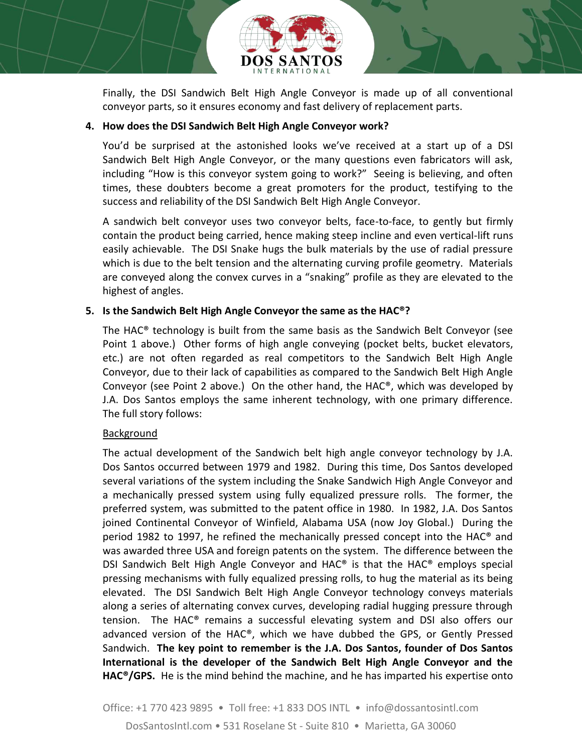

Finally, the DSI Sandwich Belt High Angle Conveyor is made up of all conventional conveyor parts, so it ensures economy and fast delivery of replacement parts.

#### **4. How does the DSI Sandwich Belt High Angle Conveyor work?**

You'd be surprised at the astonished looks we've received at a start up of a DSI Sandwich Belt High Angle Conveyor, or the many questions even fabricators will ask, including "How is this conveyor system going to work?" Seeing is believing, and often times, these doubters become a great promoters for the product, testifying to the success and reliability of the DSI Sandwich Belt High Angle Conveyor.

A sandwich belt conveyor uses two conveyor belts, face-to-face, to gently but firmly contain the product being carried, hence making steep incline and even vertical-lift runs easily achievable. The DSI Snake hugs the bulk materials by the use of radial pressure which is due to the belt tension and the alternating curving profile geometry. Materials are conveyed along the convex curves in a "snaking" profile as they are elevated to the highest of angles.

### **5. Is the Sandwich Belt High Angle Conveyor the same as the HAC®?**

The HAC® technology is built from the same basis as the Sandwich Belt Conveyor (see Point 1 above.) Other forms of high angle conveying (pocket belts, bucket elevators, etc.) are not often regarded as real competitors to the Sandwich Belt High Angle Conveyor, due to their lack of capabilities as compared to the Sandwich Belt High Angle Conveyor (see Point 2 above.) On the other hand, the  $HAC^{\circ}$ , which was developed by J.A. Dos Santos employs the same inherent technology, with one primary difference. The full story follows:

### Background

The actual development of the Sandwich belt high angle conveyor technology by J.A. Dos Santos occurred between 1979 and 1982. During this time, Dos Santos developed several variations of the system including the Snake Sandwich High Angle Conveyor and a mechanically pressed system using fully equalized pressure rolls. The former, the preferred system, was submitted to the patent office in 1980. In 1982, J.A. Dos Santos joined Continental Conveyor of Winfield, Alabama USA (now Joy Global.) During the period 1982 to 1997, he refined the mechanically pressed concept into the HAC® and was awarded three USA and foreign patents on the system. The difference between the DSI Sandwich Belt High Angle Conveyor and HAC® is that the HAC® employs special pressing mechanisms with fully equalized pressing rolls, to hug the material as its being elevated. The DSI Sandwich Belt High Angle Conveyor technology conveys materials along a series of alternating convex curves, developing radial hugging pressure through tension. The HAC® remains a successful elevating system and DSI also offers our advanced version of the HAC®, which we have dubbed the GPS, or Gently Pressed Sandwich. **The key point to remember is the J.A. Dos Santos, founder of Dos Santos International is the developer of the Sandwich Belt High Angle Conveyor and the HAC®/GPS.** He is the mind behind the machine, and he has imparted his expertise onto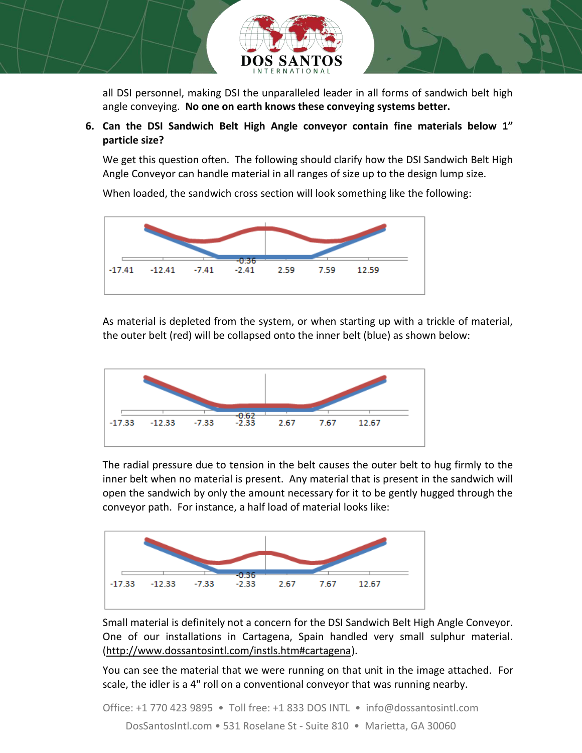

all DSI personnel, making DSI the unparalleled leader in all forms of sandwich belt high angle conveying. **No one on earth knows these conveying systems better.**

**6. Can the DSI Sandwich Belt High Angle conveyor contain fine materials below 1" particle size?**

We get this question often. The following should clarify how the DSI Sandwich Belt High Angle Conveyor can handle material in all ranges of size up to the design lump size.

When loaded, the sandwich cross section will look something like the following:



As material is depleted from the system, or when starting up with a trickle of material, the outer belt (red) will be collapsed onto the inner belt (blue) as shown below:



The radial pressure due to tension in the belt causes the outer belt to hug firmly to the inner belt when no material is present. Any material that is present in the sandwich will open the sandwich by only the amount necessary for it to be gently hugged through the conveyor path. For instance, a half load of material looks like:



Small material is definitely not a concern for the DSI Sandwich Belt High Angle Conveyor. One of our installations in Cartagena, Spain handled very small sulphur material. [\(http://www.dossantosintl.com/instls.htm#cartagena\)](http://www.dossantosintl.com/instls.htm#cartagena).

You can see the material that we were running on that unit in the image attached. For scale, the idler is a 4" roll on a conventional conveyor that was running nearby.

Office: +1 770 423 9895 • Toll free: +1 833 DOS INTL • info@dossantosintl.com DosSantosIntl.com • 531 Roselane St - Suite 810 • Marietta, GA 30060